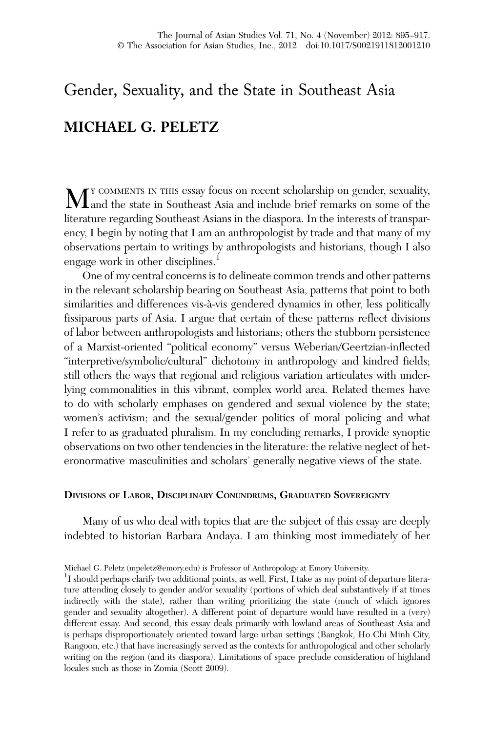# Gender, Sexuality, and the State in Southeast Asia MICHAEL G. PELETZ

MY COMMENTS IN THIS essay focus on recent scholarship on gender, sexuality, and the state in Southeast Asia and include brief remarks on some of the literature regarding Southeast Asians in the diaspora. In the interests of transparency, I begin by noting that I am an anthropologist by trade and that many of my observations pertain to writings by anthropologists and historians, though I also engage work in other disciplines.<sup>1</sup>

One of my central concerns is to delineate common trends and other patterns in the relevant scholarship bearing on Southeast Asia, patterns that point to both similarities and differences vis-à-vis gendered dynamics in other, less politically fissiparous parts of Asia. I argue that certain of these patterns reflect divisions of labor between anthropologists and historians; others the stubborn persistence of a Marxist-oriented "political economy" versus Weberian/Geertzian-inflected "interpretive/symbolic/cultural" dichotomy in anthropology and kindred fields; still others the ways that regional and religious variation articulates with underlying commonalities in this vibrant, complex world area. Related themes have to do with scholarly emphases on gendered and sexual violence by the state; women's activism; and the sexual/gender politics of moral policing and what I refer to as graduated pluralism. In my concluding remarks, I provide synoptic observations on two other tendencies in the literature: the relative neglect of heteronormative masculinities and scholars' generally negative views of the state.

## DIVISIONS OF LABOR, DISCIPLINARY CONUNDRUMS, GRADUATED SOVEREIGNTY

Many of us who deal with topics that are the subject of this essay are deeply indebted to historian Barbara Andaya. I am thinking most immediately of her

Michael G. Peletz (mpeletz@emory.edu) is Professor of Anthropology at Emory University.

<sup>&</sup>lt;sup>1</sup>I should perhaps clarify two additional points, as well. First, I take as my point of departure literature attending closely to gender and/or sexuality (portions of which deal substantively if at times indirectly with the state), rather than writing prioritizing the state (much of which ignores gender and sexuality altogether). A different point of departure would have resulted in a (very) different essay. And second, this essay deals primarily with lowland areas of Southeast Asia and is perhaps disproportionately oriented toward large urban settings (Bangkok, Ho Chi Minh City, Rangoon, etc.) that have increasingly served as the contexts for anthropological and other scholarly writing on the region (and its diaspora). Limitations of space preclude consideration of highland locales such as those in Zomia (Scott 2009).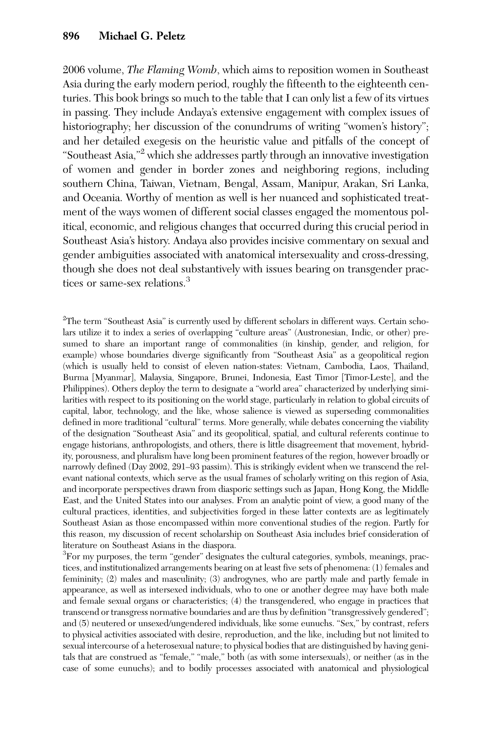2006 volume, The Flaming Womb, which aims to reposition women in Southeast Asia during the early modern period, roughly the fifteenth to the eighteenth centuries. This book brings so much to the table that I can only list a few of its virtues in passing. They include Andaya's extensive engagement with complex issues of historiography; her discussion of the conundrums of writing "women's history"; and her detailed exegesis on the heuristic value and pitfalls of the concept of "Southeast Asia," <sup>2</sup> which she addresses partly through an innovative investigation of women and gender in border zones and neighboring regions, including southern China, Taiwan, Vietnam, Bengal, Assam, Manipur, Arakan, Sri Lanka, and Oceania. Worthy of mention as well is her nuanced and sophisticated treatment of the ways women of different social classes engaged the momentous political, economic, and religious changes that occurred during this crucial period in Southeast Asia's history. Andaya also provides incisive commentary on sexual and gender ambiguities associated with anatomical intersexuality and cross-dressing, though she does not deal substantively with issues bearing on transgender practices or same-sex relations.<sup>3</sup>

<sup>2</sup>The term "Southeast Asia" is currently used by different scholars in different ways. Certain scholars utilize it to index a series of overlapping "culture areas" (Austronesian, Indic, or other) presumed to share an important range of commonalities (in kinship, gender, and religion, for example) whose boundaries diverge significantly from "Southeast Asia" as a geopolitical region (which is usually held to consist of eleven nation-states: Vietnam, Cambodia, Laos, Thailand, Burma [Myanmar], Malaysia, Singapore, Brunei, Indonesia, East Timor [Timor-Leste], and the Philippines). Others deploy the term to designate a "world area" characterized by underlying similarities with respect to its positioning on the world stage, particularly in relation to global circuits of capital, labor, technology, and the like, whose salience is viewed as superseding commonalities defined in more traditional "cultural" terms. More generally, while debates concerning the viability of the designation "Southeast Asia" and its geopolitical, spatial, and cultural referents continue to engage historians, anthropologists, and others, there is little disagreement that movement, hybridity, porousness, and pluralism have long been prominent features of the region, however broadly or narrowly defined (Day 2002, 291–93 passim). This is strikingly evident when we transcend the relevant national contexts, which serve as the usual frames of scholarly writing on this region of Asia, and incorporate perspectives drawn from diasporic settings such as Japan, Hong Kong, the Middle East, and the United States into our analyses. From an analytic point of view, a good many of the cultural practices, identities, and subjectivities forged in these latter contexts are as legitimately Southeast Asian as those encompassed within more conventional studies of the region. Partly for this reason, my discussion of recent scholarship on Southeast Asia includes brief consideration of literature on Southeast Asians in the diaspora.

<sup>3</sup>For my purposes, the term "gender" designates the cultural categories, symbols, meanings, practices, and institutionalized arrangements bearing on at least five sets of phenomena: (1) females and femininity; (2) males and masculinity; (3) androgynes, who are partly male and partly female in appearance, as well as intersexed individuals, who to one or another degree may have both male and female sexual organs or characteristics; (4) the transgendered, who engage in practices that transcend or transgress normative boundaries and are thus by definition "transgressively gendered"; and (5) neutered or unsexed/ungendered individuals, like some eunuchs. "Sex," by contrast, refers to physical activities associated with desire, reproduction, and the like, including but not limited to sexual intercourse of a heterosexual nature; to physical bodies that are distinguished by having genitals that are construed as "female," "male," both (as with some intersexuals), or neither (as in the case of some eunuchs); and to bodily processes associated with anatomical and physiological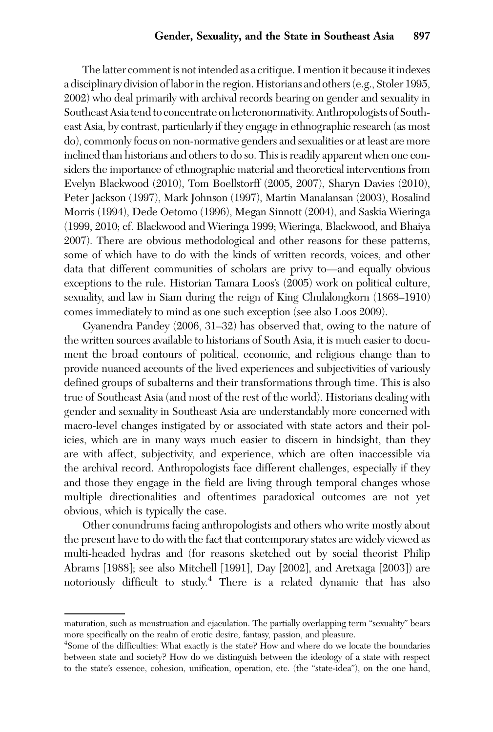The latter comment is not intended as a critique. I mention it because it indexes a disciplinary division of labor in the region. Historians and others (e.g., Stoler 1995, 2002) who deal primarily with archival records bearing on gender and sexuality in Southeast Asia tend to concentrate on heteronormativity. Anthropologists of Southeast Asia, by contrast, particularly if they engage in ethnographic research (as most do), commonly focus on non-normative genders and sexualities or at least are more inclined than historians and others to do so. This is readily apparent when one considers the importance of ethnographic material and theoretical interventions from Evelyn Blackwood (2010), Tom Boellstorff (2005, 2007), Sharyn Davies (2010), Peter Jackson (1997), Mark Johnson (1997), Martin Manalansan (2003), Rosalind Morris (1994), Dede Oetomo (1996), Megan Sinnott (2004), and Saskia Wieringa (1999, 2010; cf. Blackwood and Wieringa 1999; Wieringa, Blackwood, and Bhaiya 2007). There are obvious methodological and other reasons for these patterns, some of which have to do with the kinds of written records, voices, and other data that different communities of scholars are privy to—and equally obvious exceptions to the rule. Historian Tamara Loos's (2005) work on political culture, sexuality, and law in Siam during the reign of King Chulalongkorn (1868–1910) comes immediately to mind as one such exception (see also Loos 2009).

Gyanendra Pandey (2006, 31–32) has observed that, owing to the nature of the written sources available to historians of South Asia, it is much easier to document the broad contours of political, economic, and religious change than to provide nuanced accounts of the lived experiences and subjectivities of variously defined groups of subalterns and their transformations through time. This is also true of Southeast Asia (and most of the rest of the world). Historians dealing with gender and sexuality in Southeast Asia are understandably more concerned with macro-level changes instigated by or associated with state actors and their policies, which are in many ways much easier to discern in hindsight, than they are with affect, subjectivity, and experience, which are often inaccessible via the archival record. Anthropologists face different challenges, especially if they and those they engage in the field are living through temporal changes whose multiple directionalities and oftentimes paradoxical outcomes are not yet obvious, which is typically the case.

Other conundrums facing anthropologists and others who write mostly about the present have to do with the fact that contemporary states are widely viewed as multi-headed hydras and (for reasons sketched out by social theorist Philip Abrams [1988]; see also Mitchell [1991], Day [2002], and Aretxaga [2003]) are notoriously difficult to study.<sup>4</sup> There is a related dynamic that has also

maturation, such as menstruation and ejaculation. The partially overlapping term "sexuality" bears more specifically on the realm of erotic desire, fantasy, passion, and pleasure.

<sup>&</sup>lt;sup>4</sup>Some of the difficulties: What exactly is the state? How and where do we locate the boundaries between state and society? How do we distinguish between the ideology of a state with respect to the state's essence, cohesion, unification, operation, etc. (the "state-idea"), on the one hand,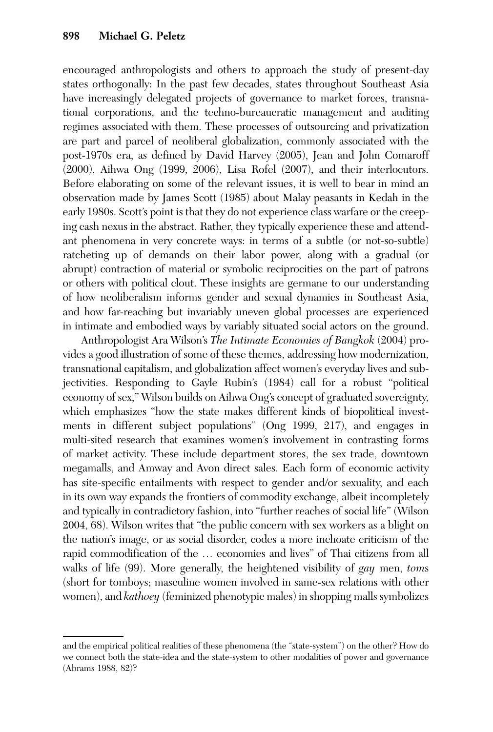encouraged anthropologists and others to approach the study of present-day states orthogonally: In the past few decades, states throughout Southeast Asia have increasingly delegated projects of governance to market forces, transnational corporations, and the techno-bureaucratic management and auditing regimes associated with them. These processes of outsourcing and privatization are part and parcel of neoliberal globalization, commonly associated with the post-1970s era, as defined by David Harvey (2005), Jean and John Comaroff (2000), Aihwa Ong (1999, 2006), Lisa Rofel (2007), and their interlocutors. Before elaborating on some of the relevant issues, it is well to bear in mind an observation made by James Scott (1985) about Malay peasants in Kedah in the early 1980s. Scott's point is that they do not experience class warfare or the creeping cash nexus in the abstract. Rather, they typically experience these and attendant phenomena in very concrete ways: in terms of a subtle (or not-so-subtle) ratcheting up of demands on their labor power, along with a gradual (or abrupt) contraction of material or symbolic reciprocities on the part of patrons or others with political clout. These insights are germane to our understanding of how neoliberalism informs gender and sexual dynamics in Southeast Asia, and how far-reaching but invariably uneven global processes are experienced in intimate and embodied ways by variably situated social actors on the ground.

Anthropologist Ara Wilson's The Intimate Economies of Bangkok (2004) provides a good illustration of some of these themes, addressing how modernization, transnational capitalism, and globalization affect women's everyday lives and subjectivities. Responding to Gayle Rubin's (1984) call for a robust "political economy of sex," Wilson builds on Aihwa Ong's concept of graduated sovereignty, which emphasizes "how the state makes different kinds of biopolitical investments in different subject populations" (Ong 1999, 217), and engages in multi-sited research that examines women's involvement in contrasting forms of market activity. These include department stores, the sex trade, downtown megamalls, and Amway and Avon direct sales. Each form of economic activity has site-specific entailments with respect to gender and/or sexuality, and each in its own way expands the frontiers of commodity exchange, albeit incompletely and typically in contradictory fashion, into "further reaches of social life" (Wilson 2004, 68). Wilson writes that "the public concern with sex workers as a blight on the nation's image, or as social disorder, codes a more inchoate criticism of the rapid commodification of the … economies and lives" of Thai citizens from all walks of life (99). More generally, the heightened visibility of gay men, toms (short for tomboys; masculine women involved in same-sex relations with other women), and *kathoey* (feminized phenotypic males) in shopping malls symbolizes

and the empirical political realities of these phenomena (the "state-system") on the other? How do we connect both the state-idea and the state-system to other modalities of power and governance (Abrams 1988, 82)?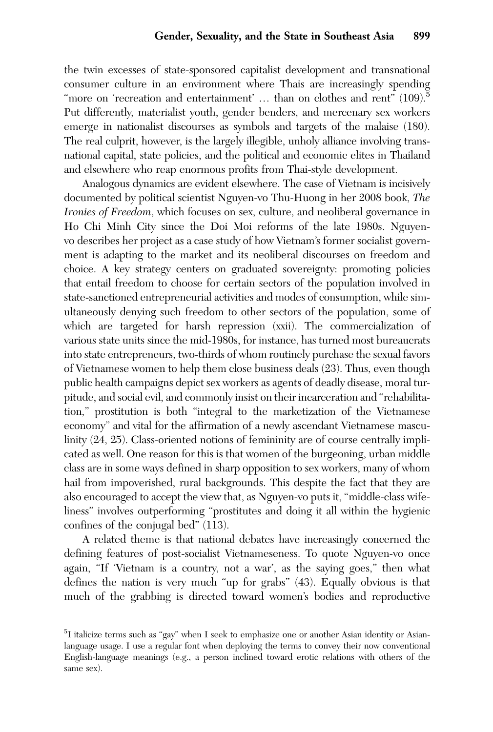the twin excesses of state-sponsored capitalist development and transnational consumer culture in an environment where Thais are increasingly spending "more on 'recreation and entertainment' ... than on clothes and rent"  $(109)^5$ Put differently, materialist youth, gender benders, and mercenary sex workers emerge in nationalist discourses as symbols and targets of the malaise (180). The real culprit, however, is the largely illegible, unholy alliance involving transnational capital, state policies, and the political and economic elites in Thailand and elsewhere who reap enormous profits from Thai-style development.

Analogous dynamics are evident elsewhere. The case of Vietnam is incisively documented by political scientist Nguyen-vo Thu-Huong in her 2008 book, The Ironies of Freedom, which focuses on sex, culture, and neoliberal governance in Ho Chi Minh City since the Doi Moi reforms of the late 1980s. Nguyenvo describes her project as a case study of how Vietnam's former socialist government is adapting to the market and its neoliberal discourses on freedom and choice. A key strategy centers on graduated sovereignty: promoting policies that entail freedom to choose for certain sectors of the population involved in state-sanctioned entrepreneurial activities and modes of consumption, while simultaneously denying such freedom to other sectors of the population, some of which are targeted for harsh repression (xxii). The commercialization of various state units since the mid-1980s, for instance, has turned most bureaucrats into state entrepreneurs, two-thirds of whom routinely purchase the sexual favors of Vietnamese women to help them close business deals (23). Thus, even though public health campaigns depict sex workers as agents of deadly disease, moral turpitude, and social evil, and commonly insist on their incarceration and "rehabilitation," prostitution is both "integral to the marketization of the Vietnamese economy" and vital for the affirmation of a newly ascendant Vietnamese masculinity (24, 25). Class-oriented notions of femininity are of course centrally implicated as well. One reason for this is that women of the burgeoning, urban middle class are in some ways defined in sharp opposition to sex workers, many of whom hail from impoverished, rural backgrounds. This despite the fact that they are also encouraged to accept the view that, as Nguyen-vo puts it, "middle-class wifeliness" involves outperforming "prostitutes and doing it all within the hygienic confines of the conjugal bed" (113).

A related theme is that national debates have increasingly concerned the defining features of post-socialist Vietnameseness. To quote Nguyen-vo once again, "If 'Vietnam is a country, not a war', as the saying goes," then what defines the nation is very much "up for grabs" (43). Equally obvious is that much of the grabbing is directed toward women's bodies and reproductive

<sup>&</sup>lt;sup>5</sup>I italicize terms such as "gay" when I seek to emphasize one or another Asian identity or Asianlanguage usage. I use a regular font when deploying the terms to convey their now conventional English-language meanings (e.g., a person inclined toward erotic relations with others of the same sex).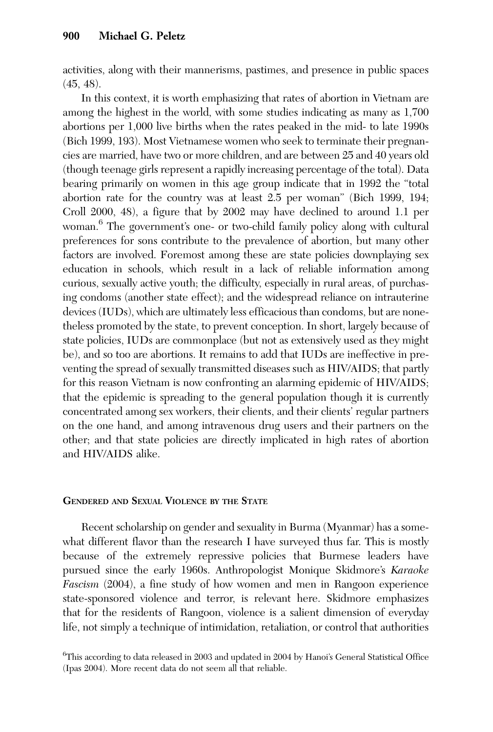activities, along with their mannerisms, pastimes, and presence in public spaces  $(45, 48)$ .

In this context, it is worth emphasizing that rates of abortion in Vietnam are among the highest in the world, with some studies indicating as many as 1,700 abortions per 1,000 live births when the rates peaked in the mid- to late 1990s (Bich 1999, 193). Most Vietnamese women who seek to terminate their pregnancies are married, have two or more children, and are between 25 and 40 years old (though teenage girls represent a rapidly increasing percentage of the total). Data bearing primarily on women in this age group indicate that in 1992 the "total abortion rate for the country was at least 2.5 per woman" (Bich 1999, 194; Croll 2000, 48), a figure that by 2002 may have declined to around 1.1 per woman.6 The government's one- or two-child family policy along with cultural preferences for sons contribute to the prevalence of abortion, but many other factors are involved. Foremost among these are state policies downplaying sex education in schools, which result in a lack of reliable information among curious, sexually active youth; the difficulty, especially in rural areas, of purchasing condoms (another state effect); and the widespread reliance on intrauterine devices (IUDs), which are ultimately less efficacious than condoms, but are nonetheless promoted by the state, to prevent conception. In short, largely because of state policies, IUDs are commonplace (but not as extensively used as they might be), and so too are abortions. It remains to add that IUDs are ineffective in preventing the spread of sexually transmitted diseases such as HIV/AIDS; that partly for this reason Vietnam is now confronting an alarming epidemic of HIV/AIDS; that the epidemic is spreading to the general population though it is currently concentrated among sex workers, their clients, and their clients' regular partners on the one hand, and among intravenous drug users and their partners on the other; and that state policies are directly implicated in high rates of abortion and HIV/AIDS alike.

# GENDERED AND SEXUAL VIOLENCE BY THE STATE

Recent scholarship on gender and sexuality in Burma (Myanmar) has a somewhat different flavor than the research I have surveyed thus far. This is mostly because of the extremely repressive policies that Burmese leaders have pursued since the early 1960s. Anthropologist Monique Skidmore's Karaoke Fascism (2004), a fine study of how women and men in Rangoon experience state-sponsored violence and terror, is relevant here. Skidmore emphasizes that for the residents of Rangoon, violence is a salient dimension of everyday life, not simply a technique of intimidation, retaliation, or control that authorities

<sup>6</sup>This according to data released in 2003 and updated in 2004 by Hanoi's General Statistical Office (Ipas 2004). More recent data do not seem all that reliable.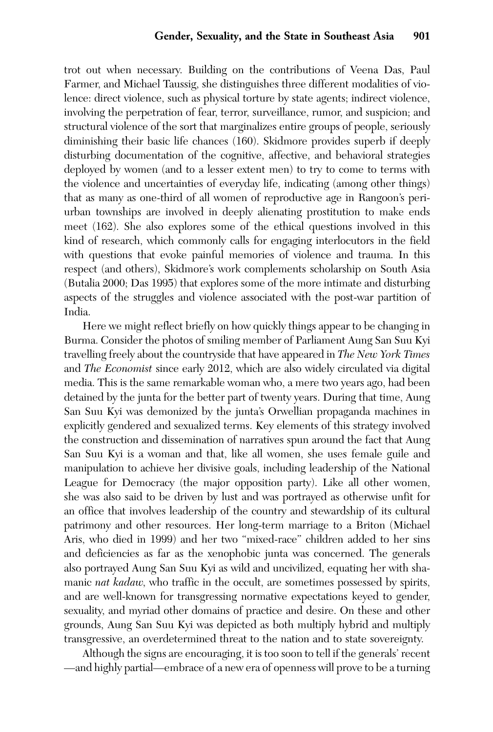trot out when necessary. Building on the contributions of Veena Das, Paul Farmer, and Michael Taussig, she distinguishes three different modalities of violence: direct violence, such as physical torture by state agents; indirect violence, involving the perpetration of fear, terror, surveillance, rumor, and suspicion; and structural violence of the sort that marginalizes entire groups of people, seriously diminishing their basic life chances (160). Skidmore provides superb if deeply disturbing documentation of the cognitive, affective, and behavioral strategies deployed by women (and to a lesser extent men) to try to come to terms with the violence and uncertainties of everyday life, indicating (among other things) that as many as one-third of all women of reproductive age in Rangoon's periurban townships are involved in deeply alienating prostitution to make ends meet (162). She also explores some of the ethical questions involved in this kind of research, which commonly calls for engaging interlocutors in the field with questions that evoke painful memories of violence and trauma. In this respect (and others), Skidmore's work complements scholarship on South Asia (Butalia 2000; Das 1995) that explores some of the more intimate and disturbing aspects of the struggles and violence associated with the post-war partition of India.

Here we might reflect briefly on how quickly things appear to be changing in Burma. Consider the photos of smiling member of Parliament Aung San Suu Kyi travelling freely about the countryside that have appeared in The New York Times and The Economist since early 2012, which are also widely circulated via digital media. This is the same remarkable woman who, a mere two years ago, had been detained by the junta for the better part of twenty years. During that time, Aung San Suu Kyi was demonized by the junta's Orwellian propaganda machines in explicitly gendered and sexualized terms. Key elements of this strategy involved the construction and dissemination of narratives spun around the fact that Aung San Suu Kyi is a woman and that, like all women, she uses female guile and manipulation to achieve her divisive goals, including leadership of the National League for Democracy (the major opposition party). Like all other women, she was also said to be driven by lust and was portrayed as otherwise unfit for an office that involves leadership of the country and stewardship of its cultural patrimony and other resources. Her long-term marriage to a Briton (Michael Aris, who died in 1999) and her two "mixed-race" children added to her sins and deficiencies as far as the xenophobic junta was concerned. The generals also portrayed Aung San Suu Kyi as wild and uncivilized, equating her with shamanic *nat kadaw*, who traffic in the occult, are sometimes possessed by spirits, and are well-known for transgressing normative expectations keyed to gender, sexuality, and myriad other domains of practice and desire. On these and other grounds, Aung San Suu Kyi was depicted as both multiply hybrid and multiply transgressive, an overdetermined threat to the nation and to state sovereignty.

Although the signs are encouraging, it is too soon to tell if the generals' recent —and highly partial—embrace of a new era of openness will prove to be a turning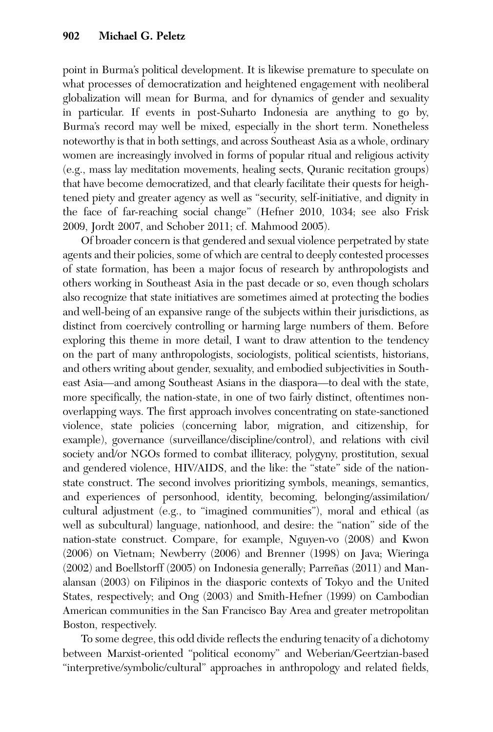point in Burma's political development. It is likewise premature to speculate on what processes of democratization and heightened engagement with neoliberal globalization will mean for Burma, and for dynamics of gender and sexuality in particular. If events in post-Suharto Indonesia are anything to go by, Burma's record may well be mixed, especially in the short term. Nonetheless noteworthy is that in both settings, and across Southeast Asia as a whole, ordinary women are increasingly involved in forms of popular ritual and religious activity (e.g., mass lay meditation movements, healing sects, Quranic recitation groups) that have become democratized, and that clearly facilitate their quests for heightened piety and greater agency as well as "security, self-initiative, and dignity in the face of far-reaching social change" (Hefner 2010, 1034; see also Frisk 2009, Jordt 2007, and Schober 2011; cf. Mahmood 2005).

Of broader concern is that gendered and sexual violence perpetrated by state agents and their policies, some of which are central to deeply contested processes of state formation, has been a major focus of research by anthropologists and others working in Southeast Asia in the past decade or so, even though scholars also recognize that state initiatives are sometimes aimed at protecting the bodies and well-being of an expansive range of the subjects within their jurisdictions, as distinct from coercively controlling or harming large numbers of them. Before exploring this theme in more detail, I want to draw attention to the tendency on the part of many anthropologists, sociologists, political scientists, historians, and others writing about gender, sexuality, and embodied subjectivities in Southeast Asia—and among Southeast Asians in the diaspora—to deal with the state, more specifically, the nation-state, in one of two fairly distinct, oftentimes nonoverlapping ways. The first approach involves concentrating on state-sanctioned violence, state policies (concerning labor, migration, and citizenship, for example), governance (surveillance/discipline/control), and relations with civil society and/or NGOs formed to combat illiteracy, polygyny, prostitution, sexual and gendered violence, HIV/AIDS, and the like: the "state" side of the nationstate construct. The second involves prioritizing symbols, meanings, semantics, and experiences of personhood, identity, becoming, belonging/assimilation/ cultural adjustment (e.g., to "imagined communities"), moral and ethical (as well as subcultural) language, nationhood, and desire: the "nation" side of the nation-state construct. Compare, for example, Nguyen-vo (2008) and Kwon (2006) on Vietnam; Newberry (2006) and Brenner (1998) on Java; Wieringa (2002) and Boellstorff (2005) on Indonesia generally; Parreñas (2011) and Manalansan (2003) on Filipinos in the diasporic contexts of Tokyo and the United States, respectively; and Ong (2003) and Smith-Hefner (1999) on Cambodian American communities in the San Francisco Bay Area and greater metropolitan Boston, respectively.

To some degree, this odd divide reflects the enduring tenacity of a dichotomy between Marxist-oriented "political economy" and Weberian/Geertzian-based "interpretive/symbolic/cultural" approaches in anthropology and related fields,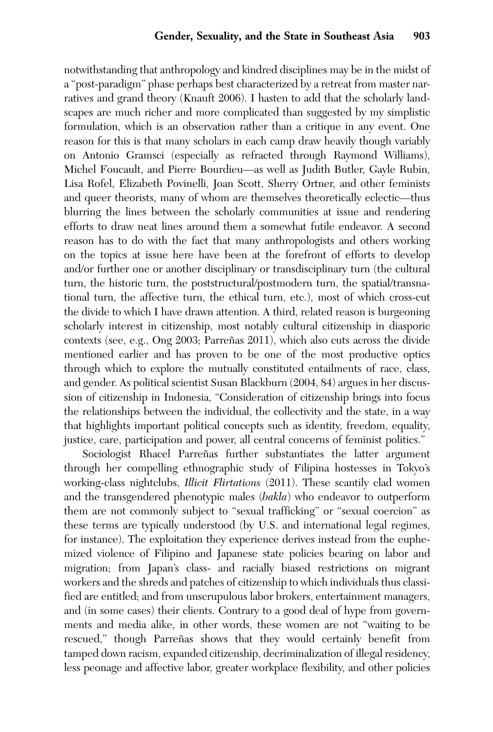notwithstanding that anthropology and kindred disciplines may be in the midst of a "post-paradigm" phase perhaps best characterized by a retreat from master narratives and grand theory (Knauft 2006). I hasten to add that the scholarly landscapes are much richer and more complicated than suggested by my simplistic formulation, which is an observation rather than a critique in any event. One reason for this is that many scholars in each camp draw heavily though variably on Antonio Gramsci (especially as refracted through Raymond Williams), Michel Foucault, and Pierre Bourdieu—as well as Judith Butler, Gayle Rubin, Lisa Rofel, Elizabeth Povinelli, Joan Scott, Sherry Ortner, and other feminists and queer theorists, many of whom are themselves theoretically eclectic—thus blurring the lines between the scholarly communities at issue and rendering efforts to draw neat lines around them a somewhat futile endeavor. A second reason has to do with the fact that many anthropologists and others working on the topics at issue here have been at the forefront of efforts to develop and/or further one or another disciplinary or transdisciplinary turn (the cultural turn, the historic turn, the poststructural/postmodern turn, the spatial/transnational turn, the affective turn, the ethical turn, etc.), most of which cross-cut the divide to which I have drawn attention. A third, related reason is burgeoning scholarly interest in citizenship, most notably cultural citizenship in diasporic contexts (see, e.g., Ong 2003; Parreñas 2011), which also cuts across the divide mentioned earlier and has proven to be one of the most productive optics through which to explore the mutually constituted entailments of race, class, and gender. As political scientist Susan Blackburn (2004, 84) argues in her discussion of citizenship in Indonesia, "Consideration of citizenship brings into focus the relationships between the individual, the collectivity and the state, in a way that highlights important political concepts such as identity, freedom, equality, justice, care, participation and power, all central concerns of feminist politics."

Sociologist Rhacel Parreñas further substantiates the latter argument through her compelling ethnographic study of Filipina hostesses in Tokyo's working-class nightclubs, *Illicit Flirtations* (2011). These scantily clad women and the transgendered phenotypic males (bakla) who endeavor to outperform them are not commonly subject to "sexual trafficking" or "sexual coercion" as these terms are typically understood (by U.S. and international legal regimes, for instance). The exploitation they experience derives instead from the euphemized violence of Filipino and Japanese state policies bearing on labor and migration; from Japan's class- and racially biased restrictions on migrant workers and the shreds and patches of citizenship to which individuals thus classified are entitled; and from unscrupulous labor brokers, entertainment managers, and (in some cases) their clients. Contrary to a good deal of hype from governments and media alike, in other words, these women are not "waiting to be rescued," though Parreñas shows that they would certainly benefit from tamped down racism, expanded citizenship, decriminalization of illegal residency, less peonage and affective labor, greater workplace flexibility, and other policies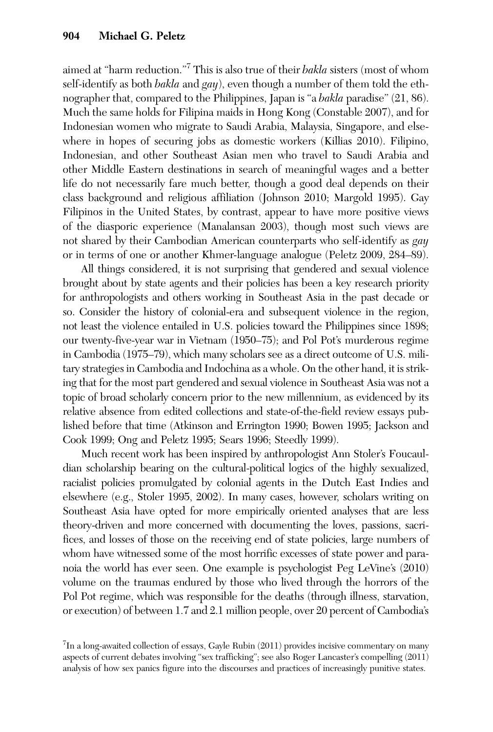aimed at "harm reduction."<sup>7</sup> This is also true of their bakla sisters (most of whom self-identify as both *bakla* and  $\frac{gay}{g}$ , even though a number of them told the ethnographer that, compared to the Philippines, Japan is "a bakla paradise" (21, 86). Much the same holds for Filipina maids in Hong Kong (Constable 2007), and for Indonesian women who migrate to Saudi Arabia, Malaysia, Singapore, and elsewhere in hopes of securing jobs as domestic workers (Killias 2010). Filipino, Indonesian, and other Southeast Asian men who travel to Saudi Arabia and other Middle Eastern destinations in search of meaningful wages and a better life do not necessarily fare much better, though a good deal depends on their class background and religious affiliation (Johnson 2010; Margold 1995). Gay Filipinos in the United States, by contrast, appear to have more positive views of the diasporic experience (Manalansan 2003), though most such views are not shared by their Cambodian American counterparts who self-identify as gay or in terms of one or another Khmer-language analogue (Peletz 2009, 284–89).

All things considered, it is not surprising that gendered and sexual violence brought about by state agents and their policies has been a key research priority for anthropologists and others working in Southeast Asia in the past decade or so. Consider the history of colonial-era and subsequent violence in the region, not least the violence entailed in U.S. policies toward the Philippines since 1898; our twenty-five-year war in Vietnam (1950–75); and Pol Pot's murderous regime in Cambodia (1975–79), which many scholars see as a direct outcome of U.S. military strategies in Cambodia and Indochina as a whole. On the other hand, it is striking that for the most part gendered and sexual violence in Southeast Asia was not a topic of broad scholarly concern prior to the new millennium, as evidenced by its relative absence from edited collections and state-of-the-field review essays published before that time (Atkinson and Errington 1990; Bowen 1995; Jackson and Cook 1999; Ong and Peletz 1995; Sears 1996; Steedly 1999).

Much recent work has been inspired by anthropologist Ann Stoler's Foucauldian scholarship bearing on the cultural-political logics of the highly sexualized, racialist policies promulgated by colonial agents in the Dutch East Indies and elsewhere (e.g., Stoler 1995, 2002). In many cases, however, scholars writing on Southeast Asia have opted for more empirically oriented analyses that are less theory-driven and more concerned with documenting the loves, passions, sacrifices, and losses of those on the receiving end of state policies, large numbers of whom have witnessed some of the most horrific excesses of state power and paranoia the world has ever seen. One example is psychologist Peg LeVine's (2010) volume on the traumas endured by those who lived through the horrors of the Pol Pot regime, which was responsible for the deaths (through illness, starvation, or execution) of between 1.7 and 2.1 million people, over 20 percent of Cambodia's

<sup>&</sup>lt;sup>7</sup>In a long-awaited collection of essays, Gayle Rubin (2011) provides incisive commentary on many aspects of current debates involving "sex trafficking"; see also Roger Lancaster's compelling (2011) analysis of how sex panics figure into the discourses and practices of increasingly punitive states.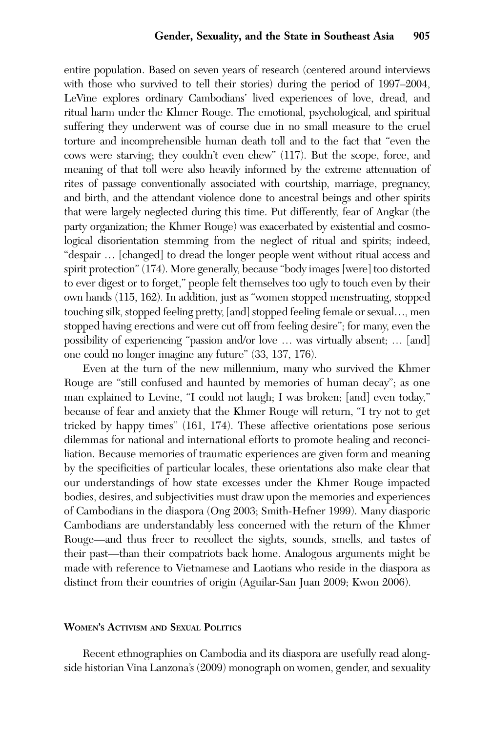entire population. Based on seven years of research (centered around interviews with those who survived to tell their stories) during the period of 1997–2004, LeVine explores ordinary Cambodians' lived experiences of love, dread, and ritual harm under the Khmer Rouge. The emotional, psychological, and spiritual suffering they underwent was of course due in no small measure to the cruel torture and incomprehensible human death toll and to the fact that "even the cows were starving; they couldn't even chew" (117). But the scope, force, and meaning of that toll were also heavily informed by the extreme attenuation of rites of passage conventionally associated with courtship, marriage, pregnancy, and birth, and the attendant violence done to ancestral beings and other spirits that were largely neglected during this time. Put differently, fear of Angkar (the party organization; the Khmer Rouge) was exacerbated by existential and cosmological disorientation stemming from the neglect of ritual and spirits; indeed, "despair … [changed] to dread the longer people went without ritual access and spirit protection" (174). More generally, because "body images [were] too distorted to ever digest or to forget," people felt themselves too ugly to touch even by their own hands (115, 162). In addition, just as "women stopped menstruating, stopped touching silk, stopped feeling pretty, [and] stopped feeling female or sexual…, men stopped having erections and were cut off from feeling desire"; for many, even the possibility of experiencing "passion and/or love … was virtually absent; … [and] one could no longer imagine any future" (33, 137, 176).

Even at the turn of the new millennium, many who survived the Khmer Rouge are "still confused and haunted by memories of human decay"; as one man explained to Levine, "I could not laugh; I was broken; [and] even today," because of fear and anxiety that the Khmer Rouge will return, "I try not to get tricked by happy times" (161, 174). These affective orientations pose serious dilemmas for national and international efforts to promote healing and reconciliation. Because memories of traumatic experiences are given form and meaning by the specificities of particular locales, these orientations also make clear that our understandings of how state excesses under the Khmer Rouge impacted bodies, desires, and subjectivities must draw upon the memories and experiences of Cambodians in the diaspora (Ong 2003; Smith-Hefner 1999). Many diasporic Cambodians are understandably less concerned with the return of the Khmer Rouge—and thus freer to recollect the sights, sounds, smells, and tastes of their past—than their compatriots back home. Analogous arguments might be made with reference to Vietnamese and Laotians who reside in the diaspora as distinct from their countries of origin (Aguilar-San Juan 2009; Kwon 2006).

## WOMEN'<sup>S</sup> ACTIVISM AND SEXUAL POLITICS

Recent ethnographies on Cambodia and its diaspora are usefully read alongside historian Vina Lanzona's (2009) monograph on women, gender, and sexuality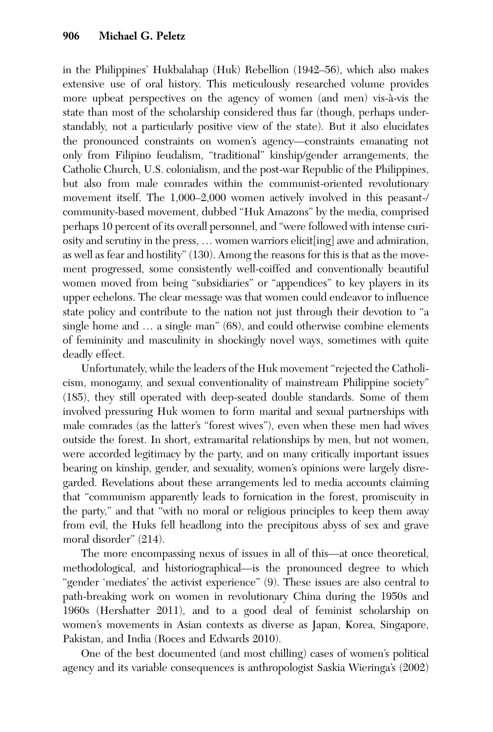in the Philippines' Hukbalahap (Huk) Rebellion (1942–56), which also makes extensive use of oral history. This meticulously researched volume provides more upbeat perspectives on the agency of women (and men) vis-à-vis the state than most of the scholarship considered thus far (though, perhaps understandably, not a particularly positive view of the state). But it also elucidates the pronounced constraints on women's agency—constraints emanating not only from Filipino feudalism, "traditional" kinship/gender arrangements, the Catholic Church, U.S. colonialism, and the post-war Republic of the Philippines, but also from male comrades within the communist-oriented revolutionary movement itself. The 1,000–2,000 women actively involved in this peasant-/ community-based movement, dubbed "Huk Amazons" by the media, comprised perhaps 10 percent of its overall personnel, and "were followed with intense curiosity and scrutiny in the press, … women warriors elicit[ing] awe and admiration, as well as fear and hostility" (130). Among the reasons for this is that as the movement progressed, some consistently well-coiffed and conventionally beautiful women moved from being "subsidiaries" or "appendices" to key players in its upper echelons. The clear message was that women could endeavor to influence state policy and contribute to the nation not just through their devotion to "a single home and … a single man" (68), and could otherwise combine elements of femininity and masculinity in shockingly novel ways, sometimes with quite deadly effect.

Unfortunately, while the leaders of the Huk movement "rejected the Catholicism, monogamy, and sexual conventionality of mainstream Philippine society" (185), they still operated with deep-seated double standards. Some of them involved pressuring Huk women to form marital and sexual partnerships with male comrades (as the latter's "forest wives"), even when these men had wives outside the forest. In short, extramarital relationships by men, but not women, were accorded legitimacy by the party, and on many critically important issues bearing on kinship, gender, and sexuality, women's opinions were largely disregarded. Revelations about these arrangements led to media accounts claiming that "communism apparently leads to fornication in the forest, promiscuity in the party," and that "with no moral or religious principles to keep them away from evil, the Huks fell headlong into the precipitous abyss of sex and grave moral disorder" (214).

The more encompassing nexus of issues in all of this—at once theoretical, methodological, and historiographical—is the pronounced degree to which "gender 'mediates' the activist experience" (9). These issues are also central to path-breaking work on women in revolutionary China during the 1950s and 1960s (Hershatter 2011), and to a good deal of feminist scholarship on women's movements in Asian contexts as diverse as Japan, Korea, Singapore, Pakistan, and India (Roces and Edwards 2010).

One of the best documented (and most chilling) cases of women's political agency and its variable consequences is anthropologist Saskia Wieringa's (2002)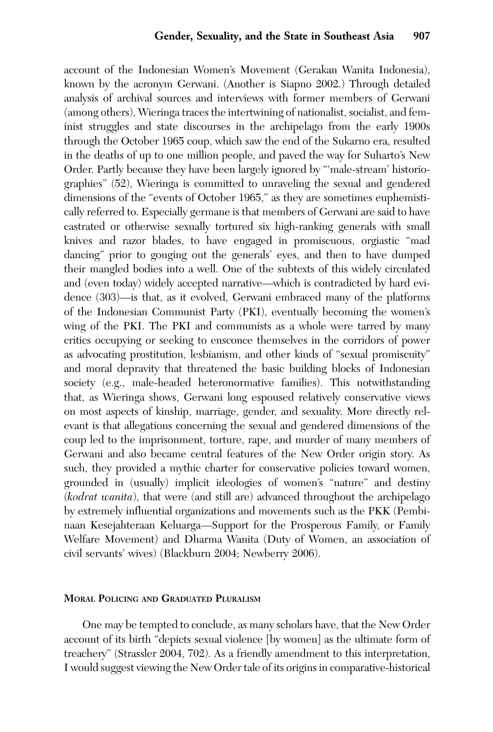account of the Indonesian Women's Movement (Gerakan Wanita Indonesia), known by the acronym Gerwani. (Another is Siapno 2002.) Through detailed analysis of archival sources and interviews with former members of Gerwani (among others), Wieringa traces the intertwining of nationalist, socialist, and feminist struggles and state discourses in the archipelago from the early 1900s through the October 1965 coup, which saw the end of the Sukarno era, resulted in the deaths of up to one million people, and paved the way for Suharto's New Order. Partly because they have been largely ignored by "'male-stream' historiographies" (52), Wieringa is committed to unraveling the sexual and gendered dimensions of the "events of October 1965," as they are sometimes euphemistically referred to. Especially germane is that members of Gerwani are said to have castrated or otherwise sexually tortured six high-ranking generals with small knives and razor blades, to have engaged in promiscuous, orgiastic "mad dancing" prior to gouging out the generals' eyes, and then to have dumped their mangled bodies into a well. One of the subtexts of this widely circulated and (even today) widely accepted narrative—which is contradicted by hard evidence (303)—is that, as it evolved, Gerwani embraced many of the platforms of the Indonesian Communist Party (PKI), eventually becoming the women's wing of the PKI. The PKI and communists as a whole were tarred by many critics occupying or seeking to ensconce themselves in the corridors of power as advocating prostitution, lesbianism, and other kinds of "sexual promiscuity" and moral depravity that threatened the basic building blocks of Indonesian society (e.g., male-headed heteronormative families). This notwithstanding that, as Wieringa shows, Gerwani long espoused relatively conservative views on most aspects of kinship, marriage, gender, and sexuality. More directly relevant is that allegations concerning the sexual and gendered dimensions of the coup led to the imprisonment, torture, rape, and murder of many members of Gerwani and also became central features of the New Order origin story. As such, they provided a mythic charter for conservative policies toward women, grounded in (usually) implicit ideologies of women's "nature" and destiny (kodrat wanita), that were (and still are) advanced throughout the archipelago by extremely influential organizations and movements such as the PKK (Pembinaan Kesejahteraan Keluarga—Support for the Prosperous Family, or Family Welfare Movement) and Dharma Wanita (Duty of Women, an association of civil servants' wives) (Blackburn 2004; Newberry 2006).

#### MORAL POLICING AND GRADUATED PLURALISM

One may be tempted to conclude, as many scholars have, that the New Order account of its birth "depicts sexual violence [by women] as the ultimate form of treachery" (Strassler 2004, 702). As a friendly amendment to this interpretation, I would suggest viewing the New Order tale of its origins in comparative-historical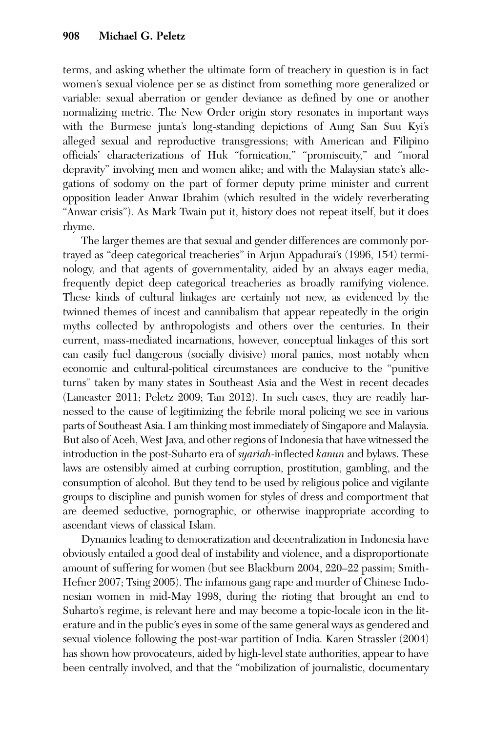terms, and asking whether the ultimate form of treachery in question is in fact women's sexual violence per se as distinct from something more generalized or variable: sexual aberration or gender deviance as defined by one or another normalizing metric. The New Order origin story resonates in important ways with the Burmese junta's long-standing depictions of Aung San Suu Kyi's alleged sexual and reproductive transgressions; with American and Filipino officials' characterizations of Huk "fornication," "promiscuity," and "moral depravity" involving men and women alike; and with the Malaysian state's allegations of sodomy on the part of former deputy prime minister and current opposition leader Anwar Ibrahim (which resulted in the widely reverberating "Anwar crisis"). As Mark Twain put it, history does not repeat itself, but it does rhyme.

The larger themes are that sexual and gender differences are commonly portrayed as "deep categorical treacheries" in Arjun Appadurai's (1996, 154) terminology, and that agents of governmentality, aided by an always eager media, frequently depict deep categorical treacheries as broadly ramifying violence. These kinds of cultural linkages are certainly not new, as evidenced by the twinned themes of incest and cannibalism that appear repeatedly in the origin myths collected by anthropologists and others over the centuries. In their current, mass-mediated incarnations, however, conceptual linkages of this sort can easily fuel dangerous (socially divisive) moral panics, most notably when economic and cultural-political circumstances are conducive to the "punitive turns" taken by many states in Southeast Asia and the West in recent decades (Lancaster 2011; Peletz 2009; Tan 2012). In such cases, they are readily harnessed to the cause of legitimizing the febrile moral policing we see in various parts of Southeast Asia. I am thinking most immediately of Singapore and Malaysia. But also of Aceh, West Java, and other regions of Indonesia that have witnessed the introduction in the post-Suharto era of syariah-inflected kanun and bylaws. These laws are ostensibly aimed at curbing corruption, prostitution, gambling, and the consumption of alcohol. But they tend to be used by religious police and vigilante groups to discipline and punish women for styles of dress and comportment that are deemed seductive, pornographic, or otherwise inappropriate according to ascendant views of classical Islam.

Dynamics leading to democratization and decentralization in Indonesia have obviously entailed a good deal of instability and violence, and a disproportionate amount of suffering for women (but see Blackburn 2004, 220–22 passim; Smith-Hefner 2007; Tsing 2005). The infamous gang rape and murder of Chinese Indonesian women in mid-May 1998, during the rioting that brought an end to Suharto's regime, is relevant here and may become a topic-locale icon in the literature and in the public's eyes in some of the same general ways as gendered and sexual violence following the post-war partition of India. Karen Strassler (2004) has shown how provocateurs, aided by high-level state authorities, appear to have been centrally involved, and that the "mobilization of journalistic, documentary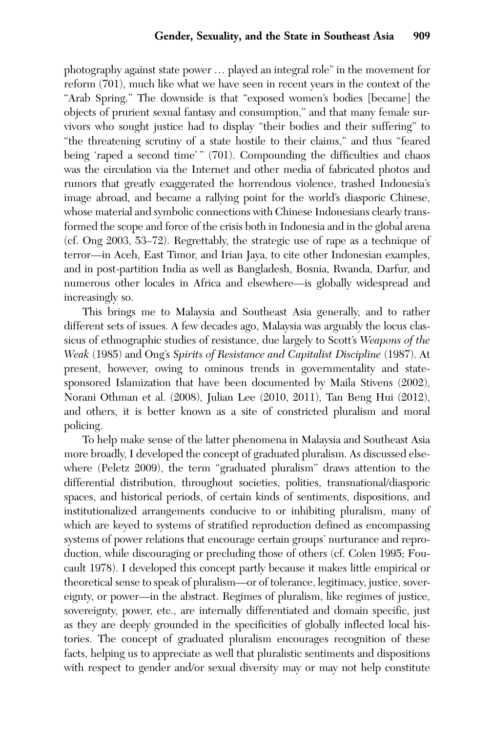photography against state power … played an integral role" in the movement for reform (701), much like what we have seen in recent years in the context of the "Arab Spring." The downside is that "exposed women's bodies [became] the objects of prurient sexual fantasy and consumption," and that many female survivors who sought justice had to display "their bodies and their suffering" to "the threatening scrutiny of a state hostile to their claims," and thus "feared being 'raped a second time' " (701). Compounding the difficulties and chaos was the circulation via the Internet and other media of fabricated photos and rumors that greatly exaggerated the horrendous violence, trashed Indonesia's image abroad, and became a rallying point for the world's diasporic Chinese, whose material and symbolic connections with Chinese Indonesians clearly transformed the scope and force of the crisis both in Indonesia and in the global arena (cf. Ong 2003, 53–72). Regrettably, the strategic use of rape as a technique of terror—in Aceh, East Timor, and Irian Jaya, to cite other Indonesian examples, and in post-partition India as well as Bangladesh, Bosnia, Rwanda, Darfur, and numerous other locales in Africa and elsewhere—is globally widespread and increasingly so.

This brings me to Malaysia and Southeast Asia generally, and to rather different sets of issues. A few decades ago, Malaysia was arguably the locus classicus of ethnographic studies of resistance, due largely to Scott's Weapons of the Weak (1985) and Ong's Spirits of Resistance and Capitalist Discipline (1987). At present, however, owing to ominous trends in governmentality and statesponsored Islamization that have been documented by Maila Stivens (2002), Norani Othman et al. (2008), Julian Lee (2010, 2011), Tan Beng Hui (2012), and others, it is better known as a site of constricted pluralism and moral policing.

To help make sense of the latter phenomena in Malaysia and Southeast Asia more broadly, I developed the concept of graduated pluralism. As discussed elsewhere (Peletz 2009), the term "graduated pluralism" draws attention to the differential distribution, throughout societies, polities, transnational/diasporic spaces, and historical periods, of certain kinds of sentiments, dispositions, and institutionalized arrangements conducive to or inhibiting pluralism, many of which are keyed to systems of stratified reproduction defined as encompassing systems of power relations that encourage certain groups' nurturance and reproduction, while discouraging or precluding those of others (cf. Colen 1995; Foucault 1978). I developed this concept partly because it makes little empirical or theoretical sense to speak of pluralism—or of tolerance, legitimacy, justice, sovereignty, or power—in the abstract. Regimes of pluralism, like regimes of justice, sovereignty, power, etc., are internally differentiated and domain specific, just as they are deeply grounded in the specificities of globally inflected local histories. The concept of graduated pluralism encourages recognition of these facts, helping us to appreciate as well that pluralistic sentiments and dispositions with respect to gender and/or sexual diversity may or may not help constitute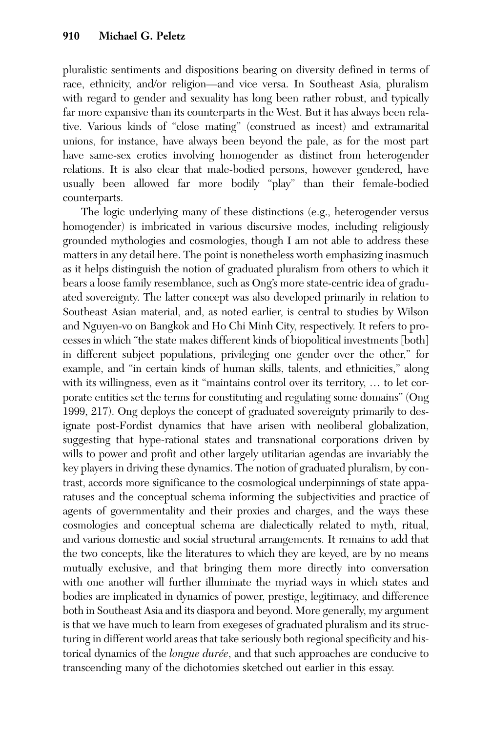pluralistic sentiments and dispositions bearing on diversity defined in terms of race, ethnicity, and/or religion—and vice versa. In Southeast Asia, pluralism with regard to gender and sexuality has long been rather robust, and typically far more expansive than its counterparts in the West. But it has always been relative. Various kinds of "close mating" (construed as incest) and extramarital unions, for instance, have always been beyond the pale, as for the most part have same-sex erotics involving homogender as distinct from heterogender relations. It is also clear that male-bodied persons, however gendered, have usually been allowed far more bodily "play" than their female-bodied counterparts.

The logic underlying many of these distinctions (e.g., heterogender versus homogender) is imbricated in various discursive modes, including religiously grounded mythologies and cosmologies, though I am not able to address these matters in any detail here. The point is nonetheless worth emphasizing inasmuch as it helps distinguish the notion of graduated pluralism from others to which it bears a loose family resemblance, such as Ong's more state-centric idea of graduated sovereignty. The latter concept was also developed primarily in relation to Southeast Asian material, and, as noted earlier, is central to studies by Wilson and Nguyen-vo on Bangkok and Ho Chi Minh City, respectively. It refers to processes in which "the state makes different kinds of biopolitical investments [both] in different subject populations, privileging one gender over the other," for example, and "in certain kinds of human skills, talents, and ethnicities," along with its willingness, even as it "maintains control over its territory, … to let corporate entities set the terms for constituting and regulating some domains" (Ong 1999, 217). Ong deploys the concept of graduated sovereignty primarily to designate post-Fordist dynamics that have arisen with neoliberal globalization, suggesting that hype-rational states and transnational corporations driven by wills to power and profit and other largely utilitarian agendas are invariably the key players in driving these dynamics. The notion of graduated pluralism, by contrast, accords more significance to the cosmological underpinnings of state apparatuses and the conceptual schema informing the subjectivities and practice of agents of governmentality and their proxies and charges, and the ways these cosmologies and conceptual schema are dialectically related to myth, ritual, and various domestic and social structural arrangements. It remains to add that the two concepts, like the literatures to which they are keyed, are by no means mutually exclusive, and that bringing them more directly into conversation with one another will further illuminate the myriad ways in which states and bodies are implicated in dynamics of power, prestige, legitimacy, and difference both in Southeast Asia and its diaspora and beyond. More generally, my argument is that we have much to learn from exegeses of graduated pluralism and its structuring in different world areas that take seriously both regional specificity and historical dynamics of the longue durée, and that such approaches are conducive to transcending many of the dichotomies sketched out earlier in this essay.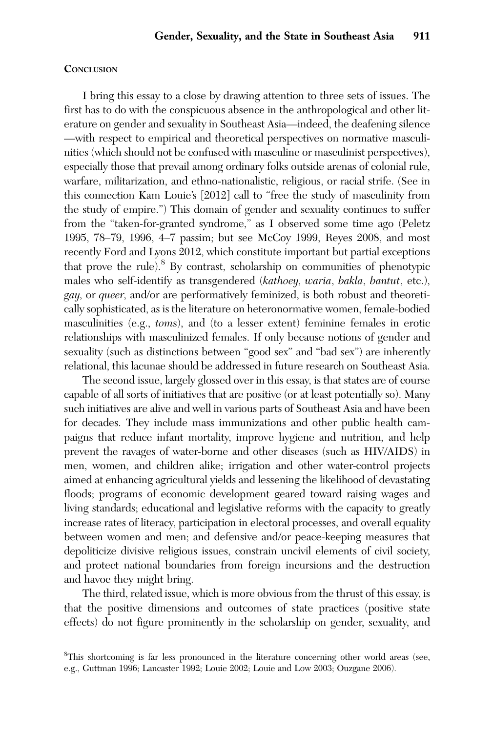#### **CONCLUSION**

I bring this essay to a close by drawing attention to three sets of issues. The first has to do with the conspicuous absence in the anthropological and other literature on gender and sexuality in Southeast Asia—indeed, the deafening silence —with respect to empirical and theoretical perspectives on normative masculinities (which should not be confused with masculine or masculinist perspectives), especially those that prevail among ordinary folks outside arenas of colonial rule, warfare, militarization, and ethno-nationalistic, religious, or racial strife. (See in this connection Kam Louie's [2012] call to "free the study of masculinity from the study of empire.") This domain of gender and sexuality continues to suffer from the "taken-for-granted syndrome," as I observed some time ago (Peletz 1995, 78–79, 1996, 4–7 passim; but see McCoy 1999, Reyes 2008, and most recently Ford and Lyons 2012, which constitute important but partial exceptions that prove the rule).<sup>8</sup> By contrast, scholarship on communities of phenotypic males who self-identify as transgendered (kathoey, waria, bakla, bantut, etc.), gay, or queer, and/or are performatively feminized, is both robust and theoretically sophisticated, as is the literature on heteronormative women, female-bodied masculinities (e.g., toms), and (to a lesser extent) feminine females in erotic relationships with masculinized females. If only because notions of gender and sexuality (such as distinctions between "good sex" and "bad sex") are inherently relational, this lacunae should be addressed in future research on Southeast Asia.

The second issue, largely glossed over in this essay, is that states are of course capable of all sorts of initiatives that are positive (or at least potentially so). Many such initiatives are alive and well in various parts of Southeast Asia and have been for decades. They include mass immunizations and other public health campaigns that reduce infant mortality, improve hygiene and nutrition, and help prevent the ravages of water-borne and other diseases (such as HIV/AIDS) in men, women, and children alike; irrigation and other water-control projects aimed at enhancing agricultural yields and lessening the likelihood of devastating floods; programs of economic development geared toward raising wages and living standards; educational and legislative reforms with the capacity to greatly increase rates of literacy, participation in electoral processes, and overall equality between women and men; and defensive and/or peace-keeping measures that depoliticize divisive religious issues, constrain uncivil elements of civil society, and protect national boundaries from foreign incursions and the destruction and havoc they might bring.

The third, related issue, which is more obvious from the thrust of this essay, is that the positive dimensions and outcomes of state practices (positive state effects) do not figure prominently in the scholarship on gender, sexuality, and

<sup>&</sup>lt;sup>8</sup>This shortcoming is far less pronounced in the literature concerning other world areas (see, e.g., Guttman 1996; Lancaster 1992; Louie 2002; Louie and Low 2003; Ouzgane 2006).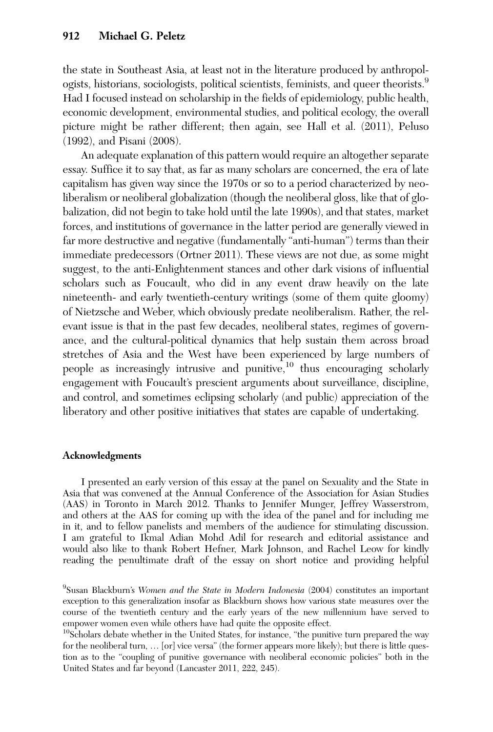the state in Southeast Asia, at least not in the literature produced by anthropologists, historians, sociologists, political scientists, feminists, and queer theorists.<sup>9</sup> Had I focused instead on scholarship in the fields of epidemiology, public health, economic development, environmental studies, and political ecology, the overall picture might be rather different; then again, see Hall et al. (2011), Peluso (1992), and Pisani (2008).

An adequate explanation of this pattern would require an altogether separate essay. Suffice it to say that, as far as many scholars are concerned, the era of late capitalism has given way since the 1970s or so to a period characterized by neoliberalism or neoliberal globalization (though the neoliberal gloss, like that of globalization, did not begin to take hold until the late 1990s), and that states, market forces, and institutions of governance in the latter period are generally viewed in far more destructive and negative (fundamentally "anti-human") terms than their immediate predecessors (Ortner 2011). These views are not due, as some might suggest, to the anti-Enlightenment stances and other dark visions of influential scholars such as Foucault, who did in any event draw heavily on the late nineteenth- and early twentieth-century writings (some of them quite gloomy) of Nietzsche and Weber, which obviously predate neoliberalism. Rather, the relevant issue is that in the past few decades, neoliberal states, regimes of governance, and the cultural-political dynamics that help sustain them across broad stretches of Asia and the West have been experienced by large numbers of people as increasingly intrusive and punitive, $10$  thus encouraging scholarly engagement with Foucault's prescient arguments about surveillance, discipline, and control, and sometimes eclipsing scholarly (and public) appreciation of the liberatory and other positive initiatives that states are capable of undertaking.

# Acknowledgments

I presented an early version of this essay at the panel on Sexuality and the State in Asia that was convened at the Annual Conference of the Association for Asian Studies (AAS) in Toronto in March 2012. Thanks to Jennifer Munger, Jeffrey Wasserstrom, and others at the AAS for coming up with the idea of the panel and for including me in it, and to fellow panelists and members of the audience for stimulating discussion. I am grateful to Ikmal Adian Mohd Adil for research and editorial assistance and would also like to thank Robert Hefner, Mark Johnson, and Rachel Leow for kindly reading the penultimate draft of the essay on short notice and providing helpful

<sup>9</sup>Susan Blackburn's Women and the State in Modern Indonesia (2004) constitutes an important exception to this generalization insofar as Blackburn shows how various state measures over the course of the twentieth century and the early years of the new millennium have served to empower women even while others have had quite the opposite effect.

<sup>10</sup>Scholars debate whether in the United States, for instance, "the punitive turn prepared the way for the neoliberal turn, … [or] vice versa" (the former appears more likely); but there is little question as to the "coupling of punitive governance with neoliberal economic policies" both in the United States and far beyond (Lancaster 2011, 222, 245).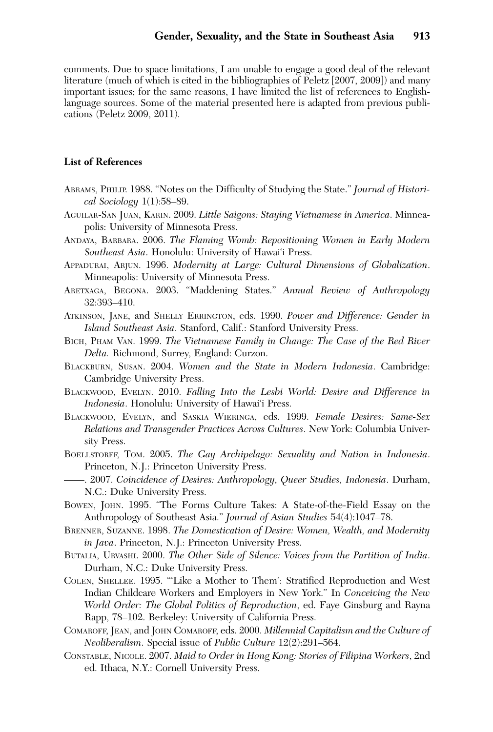comments. Due to space limitations, I am unable to engage a good deal of the relevant literature (much of which is cited in the bibliographies of Peletz [2007, 2009]) and many important issues; for the same reasons, I have limited the list of references to Englishlanguage sources. Some of the material presented here is adapted from previous publications (Peletz 2009, 2011).

#### List of References

- ABRAMS, PHILIP. 1988. "Notes on the Difficulty of Studying the State." Journal of Historical Sociology  $1(1):58-89$ .
- AGUILAR-SAN JUAN, KARIN. 2009. Little Saigons: Staying Vietnamese in America. Minneapolis: University of Minnesota Press.
- ANDAYA, BARBARA. 2006. The Flaming Womb: Repositioning Women in Early Modern Southeast Asia. Honolulu: University of Hawai'i Press.
- APPADURAI, ARJUN. 1996. Modernity at Large: Cultural Dimensions of Globalization. Minneapolis: University of Minnesota Press.
- ARETXAGA, BEGONA. 2003. "Maddening States." Annual Review of Anthropology 32:393–410.
- ATKINSON, JANE, and SHELLY ERRINGTON, eds. 1990. Power and Difference: Gender in Island Southeast Asia. Stanford, Calif.: Stanford University Press.
- BICH, PHAM VAN. 1999. The Vietnamese Family in Change: The Case of the Red River Delta. Richmond, Surrey, England: Curzon.
- BLACKBURN, SUSAN. 2004. Women and the State in Modern Indonesia. Cambridge: Cambridge University Press.
- BLACKWOOD, EVELYN. 2010. Falling Into the Lesbi World: Desire and Difference in Indonesia. Honolulu: University of Hawai'i Press.
- BLACKWOOD, EVELYN, and SASKIA WIERINGA, eds. 1999. Female Desires: Same-Sex Relations and Transgender Practices Across Cultures. New York: Columbia University Press.
- BOELLSTORFF, TOM. 2005. The Gay Archipelago: Sexuality and Nation in Indonesia. Princeton, N.J.: Princeton University Press.
- ——. 2007. Coincidence of Desires: Anthropology, Queer Studies, Indonesia. Durham, N.C.: Duke University Press.
- BOWEN, JOHN. 1995. "The Forms Culture Takes: A State-of-the-Field Essay on the Anthropology of Southeast Asia." Journal of Asian Studies 54(4):1047–78.
- BRENNER, SUZANNE. 1998. The Domestication of Desire: Women, Wealth, and Modernity in Java. Princeton, N.J.: Princeton University Press.
- BUTALIA, URVASHI. 2000. The Other Side of Silence: Voices from the Partition of India. Durham, N.C.: Duke University Press.
- COLEN, SHELLEE. 1995. "'Like a Mother to Them': Stratified Reproduction and West Indian Childcare Workers and Employers in New York." In Conceiving the New World Order: The Global Politics of Reproduction, ed. Faye Ginsburg and Rayna Rapp, 78–102. Berkeley: University of California Press.
- COMAROFF, JEAN, and JOHN COMAROFF, eds. 2000. Millennial Capitalism and the Culture of Neoliberalism. Special issue of Public Culture 12(2):291–564.
- CONSTABLE, NICOLE. 2007. Maid to Order in Hong Kong: Stories of Filipina Workers, 2nd ed. Ithaca, N.Y.: Cornell University Press.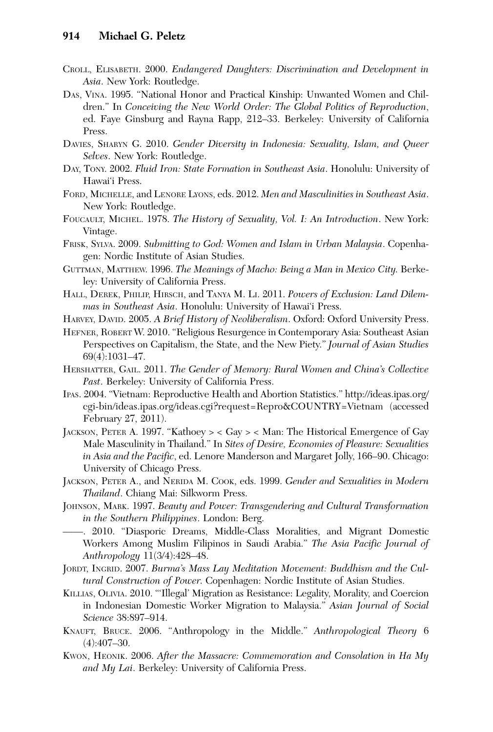- CROLL, ELISABETH. 2000. Endangered Daughters: Discrimination and Development in Asia. New York: Routledge.
- DAS, VINA. 1995. "National Honor and Practical Kinship: Unwanted Women and Children." In Conceiving the New World Order: The Global Politics of Reproduction, ed. Faye Ginsburg and Rayna Rapp, 212–33. Berkeley: University of California Press.
- DAVIES, SHARYN G. 2010. Gender Diversity in Indonesia: Sexuality, Islam, and Queer Selves. New York: Routledge.
- DAY, TONY. 2002. Fluid Iron: State Formation in Southeast Asia. Honolulu: University of Hawai'i Press.
- FORD, MICHELLE, and LENORE LYONS, eds. 2012. Men and Masculinities in Southeast Asia. New York: Routledge.
- FOUCAULT, MICHEL. 1978. The History of Sexuality, Vol. I: An Introduction. New York: Vintage.
- FRISK, SYLVA. 2009. Submitting to God: Women and Islam in Urban Malaysia. Copenhagen: Nordic Institute of Asian Studies.
- GUTTMAN, MATTHEW. 1996. The Meanings of Macho: Being a Man in Mexico City. Berkeley: University of California Press.
- HALL, DEREK, PHILIP, HIRSCH, and TANYA M. LI. 2011. Powers of Exclusion: Land Dilemmas in Southeast Asia. Honolulu: University of Hawai'i Press.
- HARVEY, DAVID. 2005. A Brief History of Neoliberalism. Oxford: Oxford University Press.
- HEFNER, ROBERT W. 2010. "Religious Resurgence in Contemporary Asia: Southeast Asian Perspectives on Capitalism, the State, and the New Piety." Journal of Asian Studies 69(4):1031–47.
- HERSHATTER, GAIL. 2011. The Gender of Memory: Rural Women and China's Collective Past. Berkeley: University of California Press.
- IPAS. 2004. "Vietnam: Reproductive Health and Abortion Statistics." http://ideas.ipas.org/ cgi-bin/ideas.ipas.org/ideas.cgi?request=Repro&COUNTRY=Vietnam (accessed February 27, 2011).
- JACKSON, PETER A. 1997. "Kathoey > < Gay > < Man: The Historical Emergence of Gay Male Masculinity in Thailand." In Sites of Desire, Economies of Pleasure: Sexualities in Asia and the Pacific, ed. Lenore Manderson and Margaret Jolly, 166–90. Chicago: University of Chicago Press.
- JACKSON, PETER A., and NERIDA M. COOK, eds. 1999. Gender and Sexualities in Modern Thailand. Chiang Mai: Silkworm Press.
- JOHNSON, MARK. 1997. Beauty and Power: Transgendering and Cultural Transformation in the Southern Philippines. London: Berg.
- ——. 2010. "Diasporic Dreams, Middle-Class Moralities, and Migrant Domestic Workers Among Muslim Filipinos in Saudi Arabia." The Asia Pacific Journal of Anthropology 11(3/4):428–48.
- JORDT, INGRID. 2007. Burma's Mass Lay Meditation Movement: Buddhism and the Cultural Construction of Power. Copenhagen: Nordic Institute of Asian Studies.
- KILLIAS, OLIVIA. 2010. "'Illegal' Migration as Resistance: Legality, Morality, and Coercion in Indonesian Domestic Worker Migration to Malaysia." Asian Journal of Social Science 38:897–914.
- KNAUFT, BRUCE. 2006. "Anthropology in the Middle." Anthropological Theory 6  $(4):407-30.$
- KWON, HEONIK. 2006. After the Massacre: Commemoration and Consolation in Ha My and My Lai. Berkeley: University of California Press.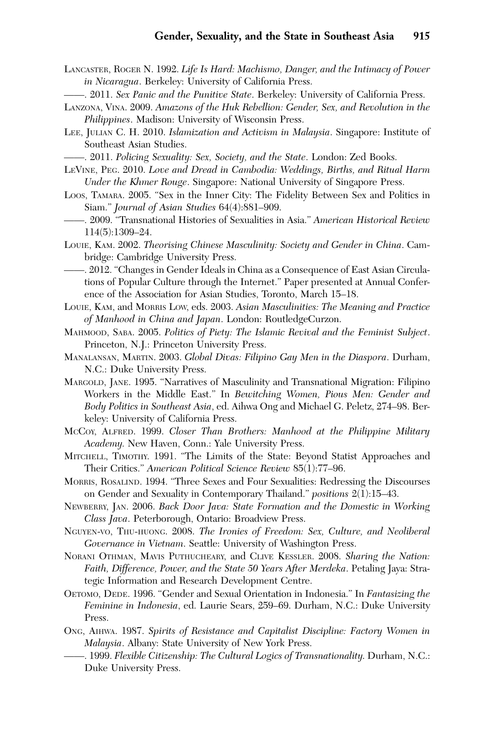- LANCASTER, ROGER N. 1992. Life Is Hard: Machismo, Danger, and the Intimacy of Power in Nicaragua. Berkeley: University of California Press.
	- ——. 2011. Sex Panic and the Punitive State. Berkeley: University of California Press.
- LANZONA, VINA. 2009. Amazons of the Huk Rebellion: Gender, Sex, and Revolution in the Philippines. Madison: University of Wisconsin Press.
- LEE, JULIAN C. H. 2010. Islamization and Activism in Malaysia. Singapore: Institute of Southeast Asian Studies.
	- ——. 2011. Policing Sexuality: Sex, Society, and the State. London: Zed Books.
- LEVINE, PEG. 2010. Love and Dread in Cambodia: Weddings, Births, and Ritual Harm Under the Khmer Rouge. Singapore: National University of Singapore Press.
- LOOS, TAMARA. 2005. "Sex in the Inner City: The Fidelity Between Sex and Politics in Siam." Journal of Asian Studies 64(4):881–909.
- ——. 2009. "Transnational Histories of Sexualities in Asia." American Historical Review 114(5):1309–24.
- LOUIE, KAM. 2002. Theorising Chinese Masculinity: Society and Gender in China. Cambridge: Cambridge University Press.
- ——. 2012. "Changes in Gender Ideals in China as a Consequence of East Asian Circulations of Popular Culture through the Internet." Paper presented at Annual Conference of the Association for Asian Studies, Toronto, March 15–18.
- LOUIE, KAM, and MORRIS LOW, eds. 2003. Asian Masculinities: The Meaning and Practice of Manhood in China and Japan. London: RoutledgeCurzon.
- MAHMOOD, SABA. 2005. Politics of Piety: The Islamic Revival and the Feminist Subject. Princeton, N.J.: Princeton University Press.
- MANALANSAN, MARTIN. 2003. Global Divas: Filipino Gay Men in the Diaspora. Durham, N.C.: Duke University Press.
- MARGOLD, JANE. 1995. "Narratives of Masculinity and Transnational Migration: Filipino Workers in the Middle East." In Bewitching Women, Pious Men: Gender and Body Politics in Southeast Asia, ed. Aihwa Ong and Michael G. Peletz, 274–98. Berkeley: University of California Press.
- MCCOY, ALFRED. 1999. Closer Than Brothers: Manhood at the Philippine Military Academy. New Haven, Conn.: Yale University Press.
- MITCHELL, TIMOTHY. 1991. "The Limits of the State: Beyond Statist Approaches and Their Critics." American Political Science Review 85(1):77–96.
- MORRIS, ROSALIND. 1994. "Three Sexes and Four Sexualities: Redressing the Discourses on Gender and Sexuality in Contemporary Thailand." positions 2(1):15–43.
- NEWBERRY, JAN. 2006. Back Door Java: State Formation and the Domestic in Working Class Java. Peterborough, Ontario: Broadview Press.
- NGUYEN-VO, THU-HUONG. 2008. The Ironies of Freedom: Sex, Culture, and Neoliberal Governance in Vietnam. Seattle: University of Washington Press.
- NORANI OTHMAN, MAVIS PUTHUCHEARY, and CLIVE KESSLER. 2008. Sharing the Nation: Faith, Difference, Power, and the State 50 Years After Merdeka. Petaling Jaya: Strategic Information and Research Development Centre.
- OETOMO, DEDE. 1996. "Gender and Sexual Orientation in Indonesia." In Fantasizing the Feminine in Indonesia, ed. Laurie Sears, 259–69. Durham, N.C.: Duke University Press.
- ONG, AIHWA. 1987. Spirits of Resistance and Capitalist Discipline: Factory Women in Malaysia. Albany: State University of New York Press.
	- ——. 1999. Flexible Citizenship: The Cultural Logics of Transnationality. Durham, N.C.: Duke University Press.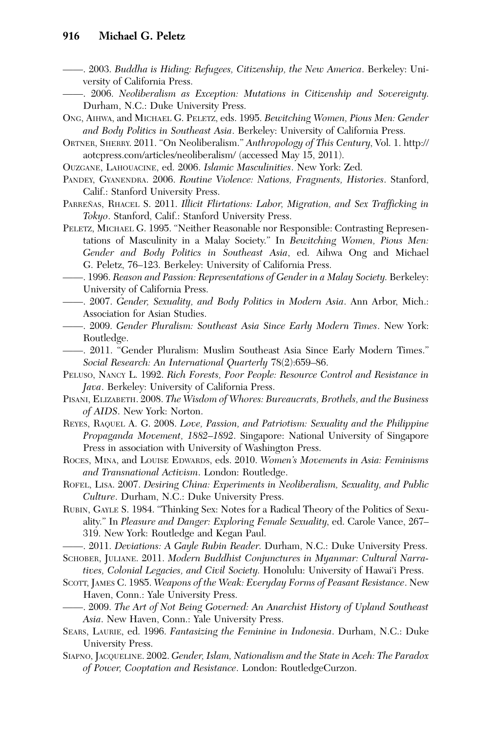- ——. 2003. Buddha is Hiding: Refugees, Citizenship, the New America. Berkeley: University of California Press.
- ——. 2006. Neoliberalism as Exception: Mutations in Citizenship and Sovereignty. Durham, N.C.: Duke University Press.
- ONG, AIHWA, and MICHAEL G. PELETZ, eds. 1995. Bewitching Women, Pious Men: Gender and Body Politics in Southeast Asia. Berkeley: University of California Press.
- ORTNER, SHERRY. 2011. "On Neoliberalism." Anthropology of This Century, Vol. 1. http:// aotcpress.com/articles/neoliberalism/ (accessed May 15, 2011).
- OUZGANE, LAHOUACINE, ed. 2006. Islamic Masculinities. New York: Zed.
- PANDEY, GYANENDRA. 2006. Routine Violence: Nations, Fragments, Histories. Stanford, Calif.: Stanford University Press.
- PARREÑAS, RHACEL S. 2011. Illicit Flirtations: Labor, Migration, and Sex Trafficking in Tokyo. Stanford, Calif.: Stanford University Press.
- PELETZ, MICHAEL G. 1995. "Neither Reasonable nor Responsible: Contrasting Representations of Masculinity in a Malay Society." In Bewitching Women, Pious Men: Gender and Body Politics in Southeast Asia, ed. Aihwa Ong and Michael G. Peletz, 76–123. Berkeley: University of California Press.
- ——. 1996. Reason and Passion: Representations of Gender in a Malay Society. Berkeley: University of California Press.
- ——. 2007. Gender, Sexuality, and Body Politics in Modern Asia. Ann Arbor, Mich.: Association for Asian Studies.
- ——. 2009. Gender Pluralism: Southeast Asia Since Early Modern Times. New York: Routledge.
- ——. 2011. "Gender Pluralism: Muslim Southeast Asia Since Early Modern Times." Social Research: An International Quarterly 78(2):659–86.
- PELUSO, NANCY L. 1992. Rich Forests, Poor People: Resource Control and Resistance in Java. Berkeley: University of California Press.
- PISANI, ELIZABETH. 2008. The Wisdom of Whores: Bureaucrats, Brothels, and the Business of AIDS. New York: Norton.
- REYES, RAQUEL A. G. 2008. Love, Passion, and Patriotism: Sexuality and the Philippine Propaganda Movement, 1882–1892. Singapore: National University of Singapore Press in association with University of Washington Press.
- ROCES, MINA, and LOUISE EDWARDS, eds. 2010. Women's Movements in Asia: Feminisms and Transnational Activism. London: Routledge.
- ROFEL, LISA. 2007. Desiring China: Experiments in Neoliberalism, Sexuality, and Public Culture. Durham, N.C.: Duke University Press.
- RUBIN, GAYLE S. 1984. "Thinking Sex: Notes for a Radical Theory of the Politics of Sexuality." In Pleasure and Danger: Exploring Female Sexuality, ed. Carole Vance, 267– 319. New York: Routledge and Kegan Paul.
- ——. 2011. Deviations: A Gayle Rubin Reader. Durham, N.C.: Duke University Press.
- SCHOBER, JULIANE. 2011. Modern Buddhist Conjunctures in Myanmar: Cultural Narratives, Colonial Legacies, and Civil Society. Honolulu: University of Hawai'i Press.
- SCOTT, JAMES C. 1985. Weapons of the Weak: Everyday Forms of Peasant Resistance. New Haven, Conn.: Yale University Press.
- ——. 2009. The Art of Not Being Governed: An Anarchist History of Upland Southeast Asia. New Haven, Conn.: Yale University Press.
- SEARS, LAURIE, ed. 1996. Fantasizing the Feminine in Indonesia. Durham, N.C.: Duke University Press.
- SIAPNO, JACQUELINE. 2002. Gender, Islam, Nationalism and the State in Aceh: The Paradox of Power, Cooptation and Resistance. London: RoutledgeCurzon.